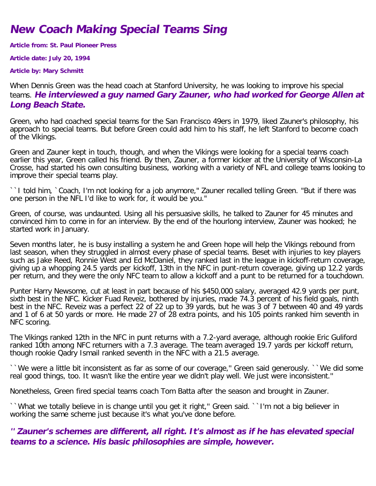## **New Coach Making Special Teams Sing**

**Article from: St. Paul Pioneer Press**

**Article date: July 20, 1994**

**Article by: Mary Schmitt**

When Dennis Green was the head coach at Stanford University, he was looking to improve his special teams. **He interviewed a guy named Gary Zauner, who had worked for George Allen at Long Beach State.**

Green, who had coached special teams for the San Francisco 49ers in 1979, liked Zauner's philosophy, his approach to special teams. But before Green could add him to his staff, he left Stanford to become coach of the Vikings.

Green and Zauner kept in touch, though, and when the Vikings were looking for a special teams coach earlier this year, Green called his friend. By then, Zauner, a former kicker at the University of Wisconsin-La Crosse, had started his own consulting business, working with a variety of NFL and college teams looking to improve their special teams play.

``I told him, `Coach, I'm not looking for a job anymore," Zauner recalled telling Green. "But if there was one person in the NFL I'd like to work for, it would be you."

Green, of course, was undaunted. Using all his persuasive skills, he talked to Zauner for 45 minutes and convinced him to come in for an interview. By the end of the hourlong interview, Zauner was hooked; he started work in January.

Seven months later, he is busy installing a system he and Green hope will help the Vikings rebound from last season, when they struggled in almost every phase of special teams. Beset with injuries to key players such as Jake Reed, Ronnie West and Ed McDaniel, they ranked last in the league in kickoff-return coverage, giving up a whopping 24.5 yards per kickoff, 13th in the NFC in punt-return coverage, giving up 12.2 yards per return, and they were the only NFC team to allow a kickoff and a punt to be returned for a touchdown.

Punter Harry Newsome, cut at least in part because of his \$450,000 salary, averaged 42.9 yards per punt, sixth best in the NFC. Kicker Fuad Reveiz, bothered by injuries, made 74.3 percent of his field goals, ninth best in the NFC. Reveiz was a perfect 22 of 22 up to 39 yards, but he was 3 of 7 between 40 and 49 yards and 1 of 6 at 50 yards or more. He made 27 of 28 extra points, and his 105 points ranked him seventh in NFC scoring.

The Vikings ranked 12th in the NFC in punt returns with a 7.2-yard average, although rookie Eric Guliford ranked 10th among NFC returners with a 7.3 average. The team averaged 19.7 yards per kickoff return, though rookie Qadry Ismail ranked seventh in the NFC with a 21.5 average.

``We were a little bit inconsistent as far as some of our coverage,'' Green said generously. ``We did some real good things, too. It wasn't like the entire year we didn't play well. We just were inconsistent.''

Nonetheless, Green fired special teams coach Tom Batta after the season and brought in Zauner.

``What we totally believe in is change until you get it right," Green said. ``I'm not a big believer in working the same scheme just because it's what you've done before.

## **'' Zauner's schemes are different, all right. It's almost as if he has elevated special teams to a science. His basic philosophies are simple, however.**